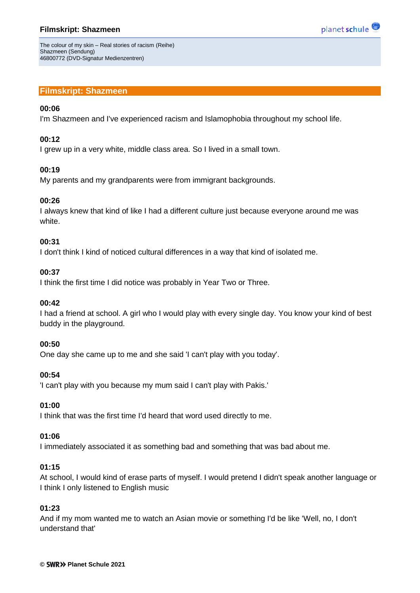# **Filmskript: Shazmeen**



The colour of my skin – Real stories of racism (Reihe) Shazmeen (Sendung) 46800772 (DVD-Signatur Medienzentren)

# **Filmskript: Shazmeen**

#### **00:06**

I'm Shazmeen and I've experienced racism and Islamophobia throughout my school life.

### **00:12**

I grew up in a very white, middle class area. So I lived in a small town.

## **00:19**

My parents and my grandparents were from immigrant backgrounds.

## **00:26**

I always knew that kind of like I had a different culture just because everyone around me was white.

## **00:31**

I don't think I kind of noticed cultural differences in a way that kind of isolated me.

## **00:37**

I think the first time I did notice was probably in Year Two or Three.

#### **00:42**

I had a friend at school. A girl who I would play with every single day. You know your kind of best buddy in the playground.

#### **00:50**

One day she came up to me and she said 'I can't play with you today'.

# **00:54**

'I can't play with you because my mum said I can't play with Pakis.'

#### **01:00**

I think that was the first time I'd heard that word used directly to me.

# **01:06**

I immediately associated it as something bad and something that was bad about me.

# **01:15**

At school, I would kind of erase parts of myself. I would pretend I didn't speak another language or I think I only listened to English music

# **01:23**

And if my mom wanted me to watch an Asian movie or something I'd be like 'Well, no, I don't understand that'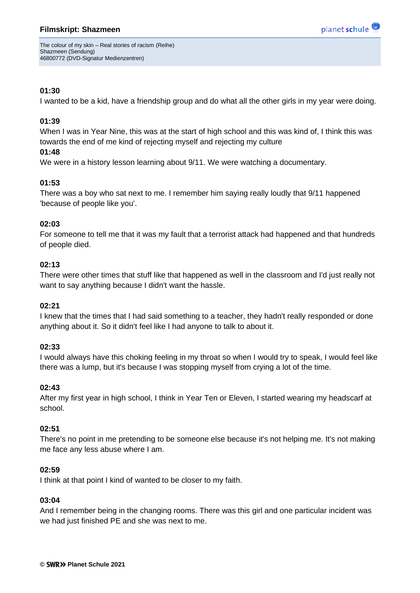# **Filmskript: Shazmeen**



The colour of my skin – Real stories of racism (Reihe) Shazmeen (Sendung) 46800772 (DVD-Signatur Medienzentren)

# **01:30**

I wanted to be a kid, have a friendship group and do what all the other girls in my year were doing.

# **01:39**

When I was in Year Nine, this was at the start of high school and this was kind of, I think this was towards the end of me kind of rejecting myself and rejecting my culture

## **01:48**

We were in a history lesson learning about 9/11. We were watching a documentary.

# **01:53**

There was a boy who sat next to me. I remember him saying really loudly that 9/11 happened 'because of people like you'.

## **02:03**

For someone to tell me that it was my fault that a terrorist attack had happened and that hundreds of people died.

## **02:13**

There were other times that stuff like that happened as well in the classroom and I'd just really not want to say anything because I didn't want the hassle.

# **02:21**

I knew that the times that I had said something to a teacher, they hadn't really responded or done anything about it. So it didn't feel like I had anyone to talk to about it.

# **02:33**

I would always have this choking feeling in my throat so when I would try to speak, I would feel like there was a lump, but it's because I was stopping myself from crying a lot of the time.

#### **02:43**

After my first year in high school, I think in Year Ten or Eleven, I started wearing my headscarf at school.

#### **02:51**

There's no point in me pretending to be someone else because it's not helping me. It's not making me face any less abuse where I am.

#### **02:59**

I think at that point I kind of wanted to be closer to my faith.

#### **03:04**

And I remember being in the changing rooms. There was this girl and one particular incident was we had just finished PE and she was next to me.